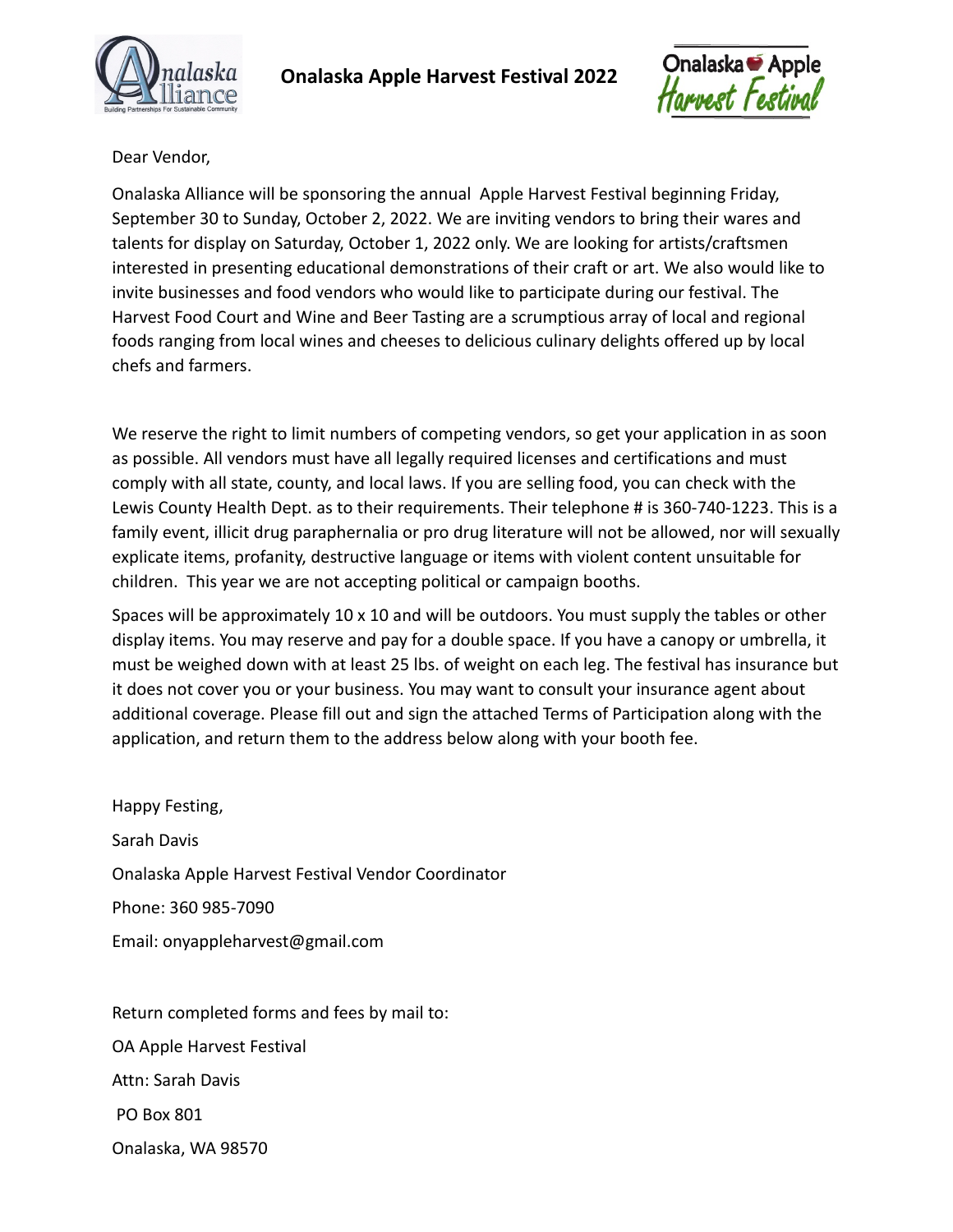



Dear Vendor,

Onalaska Alliance will be sponsoring the annual Apple Harvest Festival beginning Friday, September 30 to Sunday, October 2, 2022. We are inviting vendors to bring their wares and talents for display on Saturday, October 1, 2022 only. We are looking for artists/craftsmen interested in presenting educational demonstrations of their craft or art. We also would like to invite businesses and food vendors who would like to participate during our festival. The Harvest Food Court and Wine and Beer Tasting are a scrumptious array of local and regional foods ranging from local wines and cheeses to delicious culinary delights offered up by local chefs and farmers.

We reserve the right to limit numbers of competing vendors, so get your application in as soon as possible. All vendors must have all legally required licenses and certifications and must comply with all state, county, and local laws. If you are selling food, you can check with the Lewis County Health Dept. as to their requirements. Their telephone # is 360-740-1223. This is a family event, illicit drug paraphernalia or pro drug literature will not be allowed, nor will sexually explicate items, profanity, destructive language or items with violent content unsuitable for children. This year we are not accepting political or campaign booths.

Spaces will be approximately 10 x 10 and will be outdoors. You must supply the tables or other display items. You may reserve and pay for a double space. If you have a canopy or umbrella, it must be weighed down with at least 25 lbs. of weight on each leg. The festival has insurance but it does not cover you or your business. You may want to consult your insurance agent about additional coverage. Please fill out and sign the attached Terms of Participation along with the application, and return them to the address below along with your booth fee.

Happy Festing, Sarah Davis Onalaska Apple Harvest Festival Vendor Coordinator Phone: 360 985-7090 Email: onyappleharvest@gmail.com

Return completed forms and fees by mail to: OA Apple Harvest Festival Attn: Sarah Davis PO Box 801 Onalaska, WA 98570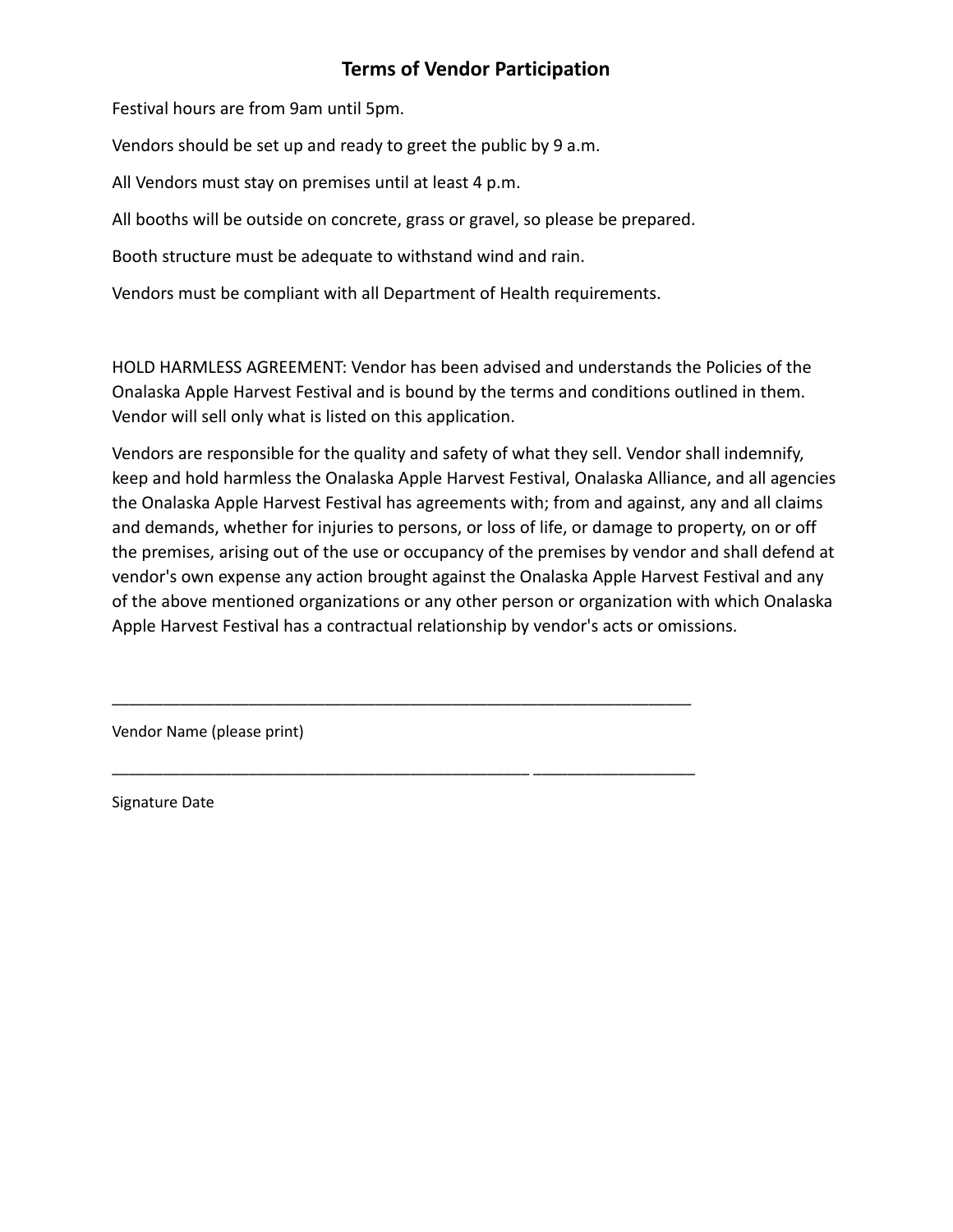## **Terms of Vendor Participation**

Festival hours are from 9am until 5pm.

Vendors should be set up and ready to greet the public by 9 a.m.

All Vendors must stay on premises until at least 4 p.m.

All booths will be outside on concrete, grass or gravel, so please be prepared.

Booth structure must be adequate to withstand wind and rain.

Vendors must be compliant with all Department of Health requirements.

\_\_\_\_\_\_\_\_\_\_\_\_\_\_\_\_\_\_\_\_\_\_\_\_\_\_\_\_\_\_\_\_\_\_\_\_\_\_\_\_\_\_\_\_\_\_\_\_\_\_\_\_\_\_\_\_\_\_\_\_\_\_\_\_\_\_\_\_

\_\_\_\_\_\_\_\_\_\_\_\_\_\_\_\_\_\_\_\_\_\_\_\_\_\_\_\_\_\_\_\_\_\_\_\_\_\_\_\_\_\_\_\_\_\_\_\_\_ \_\_\_\_\_\_\_\_\_\_\_\_\_\_\_\_\_\_\_

HOLD HARMLESS AGREEMENT: Vendor has been advised and understands the Policies of the Onalaska Apple Harvest Festival and is bound by the terms and conditions outlined in them. Vendor will sell only what is listed on this application.

Vendors are responsible for the quality and safety of what they sell. Vendor shall indemnify, keep and hold harmless the Onalaska Apple Harvest Festival, Onalaska Alliance, and all agencies the Onalaska Apple Harvest Festival has agreements with; from and against, any and all claims and demands, whether for injuries to persons, or loss of life, or damage to property, on or off the premises, arising out of the use or occupancy of the premises by vendor and shall defend at vendor's own expense any action brought against the Onalaska Apple Harvest Festival and any of the above mentioned organizations or any other person or organization with which Onalaska Apple Harvest Festival has a contractual relationship by vendor's acts or omissions.

Vendor Name (please print)

Signature Date